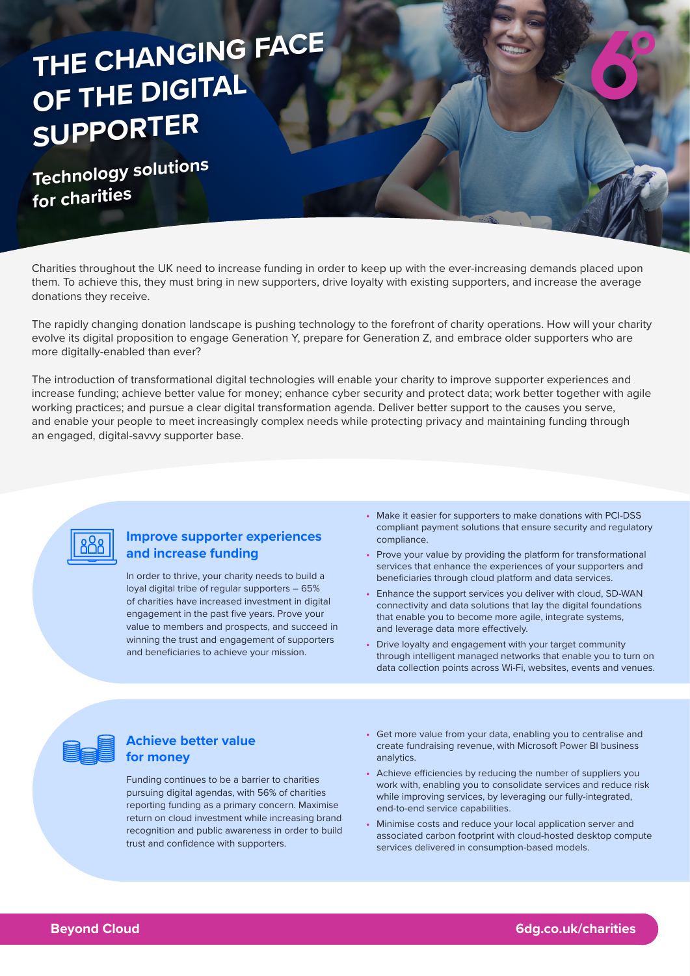# **THE CHANGING FACE OF THE DIGITAL SUPPORTER**

**Technology solutions for charities**

Charities throughout the UK need to increase funding in order to keep up with the ever-increasing demands placed upon them. To achieve this, they must bring in new supporters, drive loyalty with existing supporters, and increase the average donations they receive.

The rapidly changing donation landscape is pushing technology to the forefront of charity operations. How will your charity evolve its digital proposition to engage Generation Y, prepare for Generation Z, and embrace older supporters who are more digitally-enabled than ever?

The introduction of transformational digital technologies will enable your charity to improve supporter experiences and increase funding; achieve better value for money; enhance cyber security and protect data; work better together with agile working practices; and pursue a clear digital transformation agenda. Deliver better support to the causes you serve, and enable your people to meet increasingly complex needs while protecting privacy and maintaining funding through an engaged, digital-savvy supporter base.



#### **Improve supporter experiences and increase funding**

In order to thrive, your charity needs to build a loyal digital tribe of regular supporters – 65% of charities have increased investment in digital engagement in the past five years. Prove your value to members and prospects, and succeed in winning the trust and engagement of supporters and beneficiaries to achieve your mission.

- **•** Make it easier for supporters to make donations with PCI-DSS compliant payment solutions that ensure security and regulatory compliance.
- **•** Prove your value by providing the platform for transformational services that enhance the experiences of your supporters and beneficiaries through cloud platform and data services.
- **•** Enhance the support services you deliver with cloud, SD-WAN connectivity and data solutions that lay the digital foundations that enable you to become more agile, integrate systems, and leverage data more effectively.
- **•** Drive loyalty and engagement with your target community through intelligent managed networks that enable you to turn on data collection points across Wi-Fi, websites, events and venues.



#### **Achieve better value for money**

Funding continues to be a barrier to charities pursuing digital agendas, with 56% of charities reporting funding as a primary concern. Maximise return on cloud investment while increasing brand recognition and public awareness in order to build trust and confidence with supporters.

- **•** Get more value from your data, enabling you to centralise and create fundraising revenue, with Microsoft Power BI business analytics.
- **•** Achieve efficiencies by reducing the number of suppliers you work with, enabling you to consolidate services and reduce risk while improving services, by leveraging our fully-integrated, end-to-end service capabilities.
- **•** Minimise costs and reduce your local application server and associated carbon footprint with cloud-hosted desktop compute services delivered in consumption-based models.